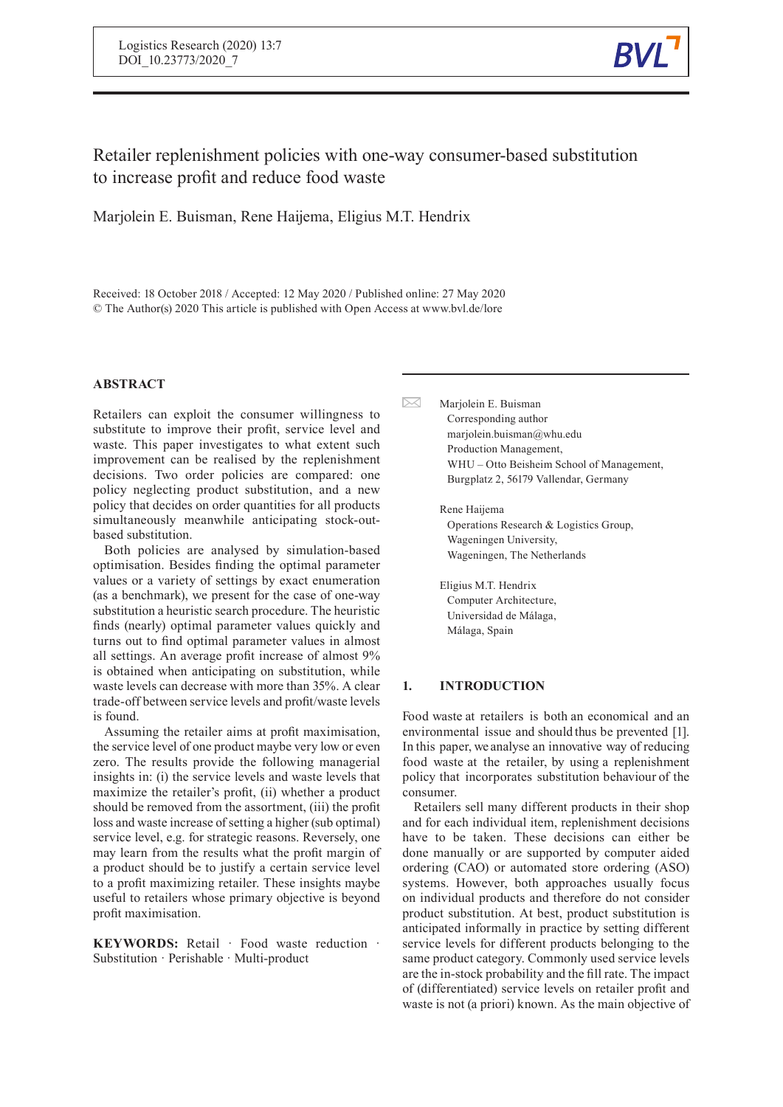

Retailer replenishment policies with one-way consumer-based substitution to increase profit and reduce food waste

 $\boxtimes$ 

Marjolein E. Buisman, Rene Haijema, Eligius M.T. Hendrix

Received: 18 October 2018 / Accepted: 12 May 2020 / Published online: 27 May 2020 © The Author(s) 2020 This article is published with Open Access at www.bvl.de/lore

# **ABSTRACT**

Retailers can exploit the consumer willingness to substitute to improve their profit, service level and waste. This paper investigates to what extent such improvement can be realised by the replenishment decisions. Two order policies are compared: one policy neglecting product substitution, and a new policy that decides on order quantities for all products simultaneously meanwhile anticipating stock-outbased substitution.

Both policies are analysed by simulation-based optimisation. Besides finding the optimal parameter values or a variety of settings by exact enumeration (as a benchmark), we present for the case of one-way substitution a heuristic search procedure. The heuristic finds (nearly) optimal parameter values quickly and turns out to find optimal parameter values in almost all settings. An average profit increase of almost 9% is obtained when anticipating on substitution, while waste levels can decrease with more than 35%. A clear trade-off between service levels and profit/waste levels is found.

Assuming the retailer aims at profit maximisation, the service level of one product maybe very low or even zero. The results provide the following managerial insights in: (i) the service levels and waste levels that maximize the retailer's profit, (ii) whether a product should be removed from the assortment, (iii) the profit loss and waste increase of setting a higher (sub optimal) service level, e.g. for strategic reasons. Reversely, one may learn from the results what the profit margin of a product should be to justify a certain service level to a profit maximizing retailer. These insights maybe useful to retailers whose primary objective is beyond profit maximisation.

**KEYWORDS:** Retail · Food waste reduction · Substitution · Perishable · Multi-product

Marjolein E. Buisman Corresponding author marjolein.buisman@whu.edu Production Management, WHU – Otto Beisheim School of Management, Burgplatz 2, 56179 Vallendar, Germany

Rene Haijema Operations Research & Logistics Group, Wageningen University, Wageningen, The Netherlands

Eligius M.T. Hendrix Computer Architecture, Universidad de Málaga, Málaga, Spain

## **1. INTRODUCTION**

Food waste at retailers is both an economical and an environmental issue and should thus be prevented [1]. In this paper, we analyse an innovative way of reducing food waste at the retailer, by using a replenishment policy that incorporates substitution behaviour of the consumer.

Retailers sell many different products in their shop and for each individual item, replenishment decisions have to be taken. These decisions can either be done manually or are supported by computer aided ordering (CAO) or automated store ordering (ASO) systems. However, both approaches usually focus on individual products and therefore do not consider product substitution. At best, product substitution is anticipated informally in practice by setting different service levels for different products belonging to the same product category. Commonly used service levels are the in-stock probability and thefill rate. The impact of (differentiated) service levels on retailer profit and waste is not (a priori) known. As the main objective of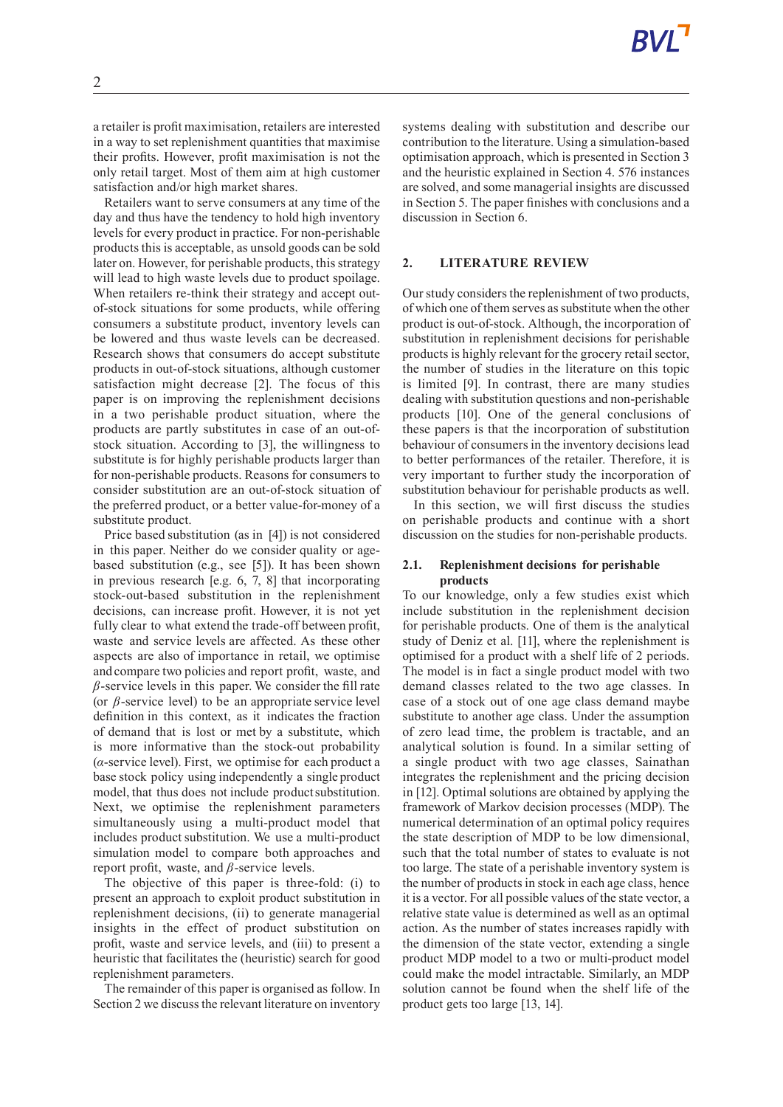a retailer is profit maximisation, retailers are interested in a way to set replenishment quantities that maximise their profits. However, profit maximisation is not the only retail target. Most of them aim at high customer satisfaction and/or high market shares.

Retailers want to serve consumers at any time of the day and thus have the tendency to hold high inventory levels for every product in practice. For non-perishable products this is acceptable, as unsold goods can be sold later on. However, for perishable products, this strategy will lead to high waste levels due to product spoilage. When retailers re-think their strategy and accept outof-stock situations for some products, while offering consumers a substitute product, inventory levels can be lowered and thus waste levels can be decreased. Research shows that consumers do accept substitute products in out-of-stock situations, although customer satisfaction might decrease [2]. The focus of this paper is on improving the replenishment decisions in a two perishable product situation, where the products are partly substitutes in case of an out-ofstock situation. According to [3], the willingness to substitute is for highly perishable products larger than for non-perishable products. Reasons for consumers to consider substitution are an out-of-stock situation of the preferred product, or a better value-for-money of a substitute product.

Price based substitution (as in [4]) is not considered in this paper. Neither do we consider quality or agebased substitution (e.g., see [5]). It has been shown in previous research [e.g. 6, 7, 8] that incorporating stock-out-based substitution in the replenishment decisions, can increase profit. However, it is not yet fully clear to what extend the trade-off between profit, waste and service levels are affected. As these other aspects are also of importance in retail, we optimise and compare two policies and report profit, waste, and *β*-service levels in this paper. We consider the fill rate (or *β*-service level) to be an appropriate service level definition in this context, as it indicates the fraction of demand that is lost or met by a substitute, which is more informative than the stock-out probability (*α*-service level). First, we optimise for each product a base stock policy using independently a single product model, that thus does not include product substitution. Next, we optimise the replenishment parameters simultaneously using a multi-product model that includes product substitution. We use a multi-product simulation model to compare both approaches and report profit, waste, and *β*-service levels.

The objective of this paper is three-fold: (i) to present an approach to exploit product substitution in replenishment decisions, (ii) to generate managerial insights in the effect of product substitution on profit, waste and service levels, and (iii) to present a heuristic that facilitates the (heuristic) search for good replenishment parameters.

The remainder of this paper is organised as follow. In Section 2 we discuss the relevant literature on inventory systems dealing with substitution and describe our contribution to the literature. Using a simulation-based optimisation approach, which is presented in Section 3 and the heuristic explained in Section 4. 576 instances are solved, and some managerial insights are discussed in Section 5. The paper finishes with conclusions and a discussion in Section 6.

#### **2. LITERATURE REVIEW**

Our study considers the replenishment of two products, of which one of them serves as substitute when the other product is out-of-stock. Although, the incorporation of substitution in replenishment decisions for perishable products is highly relevant for the grocery retail sector, the number of studies in the literature on this topic is limited [9]. In contrast, there are many studies dealing with substitution questions and non-perishable products [10]. One of the general conclusions of these papers is that the incorporation of substitution behaviour of consumers in the inventory decisions lead to better performances of the retailer. Therefore, it is very important to further study the incorporation of substitution behaviour for perishable products as well.

In this section, we will first discuss the studies on perishable products and continue with a short discussion on the studies for non-perishable products.

### **2.1. Replenishment decisions for perishable products**

To our knowledge, only a few studies exist which include substitution in the replenishment decision for perishable products. One of them is the analytical study of Deniz et al. [11], where the replenishment is optimised for a product with a shelf life of 2 periods. The model is in fact a single product model with two demand classes related to the two age classes. In case of a stock out of one age class demand maybe substitute to another age class. Under the assumption of zero lead time, the problem is tractable, and an analytical solution is found. In a similar setting of a single product with two age classes, Sainathan integrates the replenishment and the pricing decision in [12]. Optimal solutions are obtained by applying the framework of Markov decision processes (MDP). The numerical determination of an optimal policy requires the state description of MDP to be low dimensional, such that the total number of states to evaluate is not too large. The state of a perishable inventory system is the number of products in stock in each age class, hence it is a vector. For all possible values of the state vector, a relative state value is determined as well as an optimal action. As the number of states increases rapidly with the dimension of the state vector, extending a single product MDP model to a two or multi-product model could make the model intractable. Similarly, an MDP solution cannot be found when the shelf life of the product gets too large [13, 14].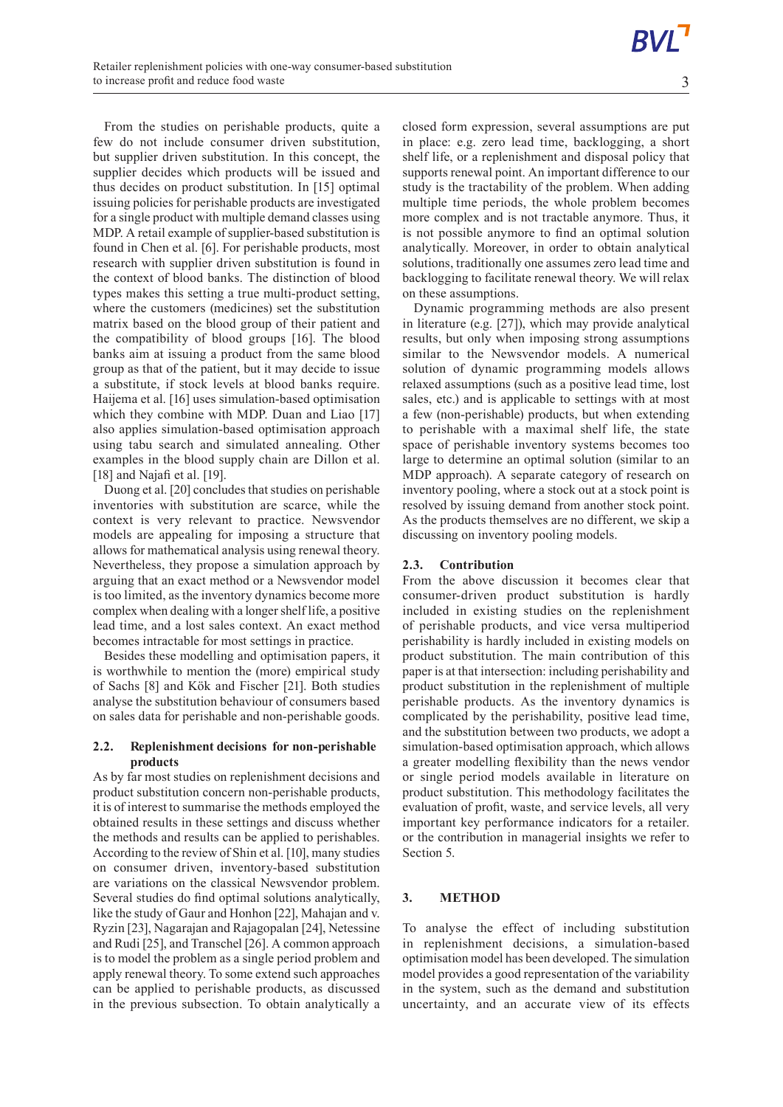From the studies on perishable products, quite a few do not include consumer driven substitution, but supplier driven substitution. In this concept, the supplier decides which products will be issued and thus decides on product substitution. In [15] optimal issuing policies for perishable products are investigated for a single product with multiple demand classes using MDP. A retail example of supplier-based substitution is found in Chen et al. [6]. For perishable products, most research with supplier driven substitution is found in the context of blood banks. The distinction of blood types makes this setting a true multi-product setting, where the customers (medicines) set the substitution matrix based on the blood group of their patient and the compatibility of blood groups [16]. The blood banks aim at issuing a product from the same blood group as that of the patient, but it may decide to issue a substitute, if stock levels at blood banks require. Haijema et al. [16] uses simulation-based optimisation which they combine with MDP. Duan and Liao [17] also applies simulation-based optimisation approach using tabu search and simulated annealing. Other examples in the blood supply chain are Dillon et al. [18] and Najafi et al. [19].

Duong et al. [20] concludes that studies on perishable inventories with substitution are scarce, while the context is very relevant to practice. Newsvendor models are appealing for imposing a structure that allows for mathematical analysis using renewal theory. Nevertheless, they propose a simulation approach by arguing that an exact method or a Newsvendor model is too limited, as the inventory dynamics become more complex when dealing with a longershelf life, a positive lead time, and a lost sales context. An exact method becomes intractable for most settings in practice.

Besides these modelling and optimisation papers, it is worthwhile to mention the (more) empirical study of Sachs [8] and Kök and Fischer [21]. Both studies analyse the substitution behaviour of consumers based on sales data for perishable and non-perishable goods.

### **2.2. Replenishment decisions for non-perishable products**

As by far most studies on replenishment decisions and product substitution concern non-perishable products, it is of interest to summarise the methods employed the obtained results in these settings and discuss whether the methods and results can be applied to perishables. According to the review of Shin et al. [10], many studies on consumer driven, inventory-based substitution are variations on the classical Newsvendor problem. Several studies do find optimal solutions analytically, like the study of Gaur and Honhon [22], Mahajan and v. Ryzin [23], Nagarajan and Rajagopalan [24], Netessine and Rudi [25], and Transchel [26]. A common approach is to model the problem as a single period problem and apply renewal theory. To some extend such approaches can be applied to perishable products, as discussed in the previous subsection. To obtain analytically a closed form expression, several assumptions are put in place: e.g. zero lead time, backlogging, a short shelf life, or a replenishment and disposal policy that supports renewal point. An important difference to our study is the tractability of the problem. When adding multiple time periods, the whole problem becomes more complex and is not tractable anymore. Thus, it is not possible anymore to find an optimal solution analytically. Moreover, in order to obtain analytical solutions, traditionally one assumes zero lead time and backlogging to facilitate renewal theory. We will relax on these assumptions.

Dynamic programming methods are also present in literature (e.g. [27]), which may provide analytical results, but only when imposing strong assumptions similar to the Newsvendor models. A numerical solution of dynamic programming models allows relaxed assumptions (such as a positive lead time, lost sales, etc.) and is applicable to settings with at most a few (non-perishable) products, but when extending to perishable with a maximal shelf life, the state space of perishable inventory systems becomes too large to determine an optimal solution (similar to an MDP approach). A separate category of research on inventory pooling, where a stock out at a stock point is resolved by issuing demand from another stock point. As the products themselves are no different, we skip a discussing on inventory pooling models.

## **2.3. Contribution**

From the above discussion it becomes clear that consumer-driven product substitution is hardly included in existing studies on the replenishment of perishable products, and vice versa multiperiod perishability is hardly included in existing models on product substitution. The main contribution of this paper is at that intersection: including perishability and product substitution in the replenishment of multiple perishable products. As the inventory dynamics is complicated by the perishability, positive lead time, and the substitution between two products, we adopt a simulation-based optimisation approach, which allows a greater modelling flexibility than the news vendor or single period models available in literature on product substitution. This methodology facilitates the evaluation of profit, waste, and service levels, all very important key performance indicators for a retailer. or the contribution in managerial insights we refer to Section 5.

# **3. METHOD**

To analyse the effect of including substitution in replenishment decisions, a simulation-based optimisation model has been developed. The simulation model provides a good representation of the variability in the system, such as the demand and substitution uncertainty, and an accurate view of its effects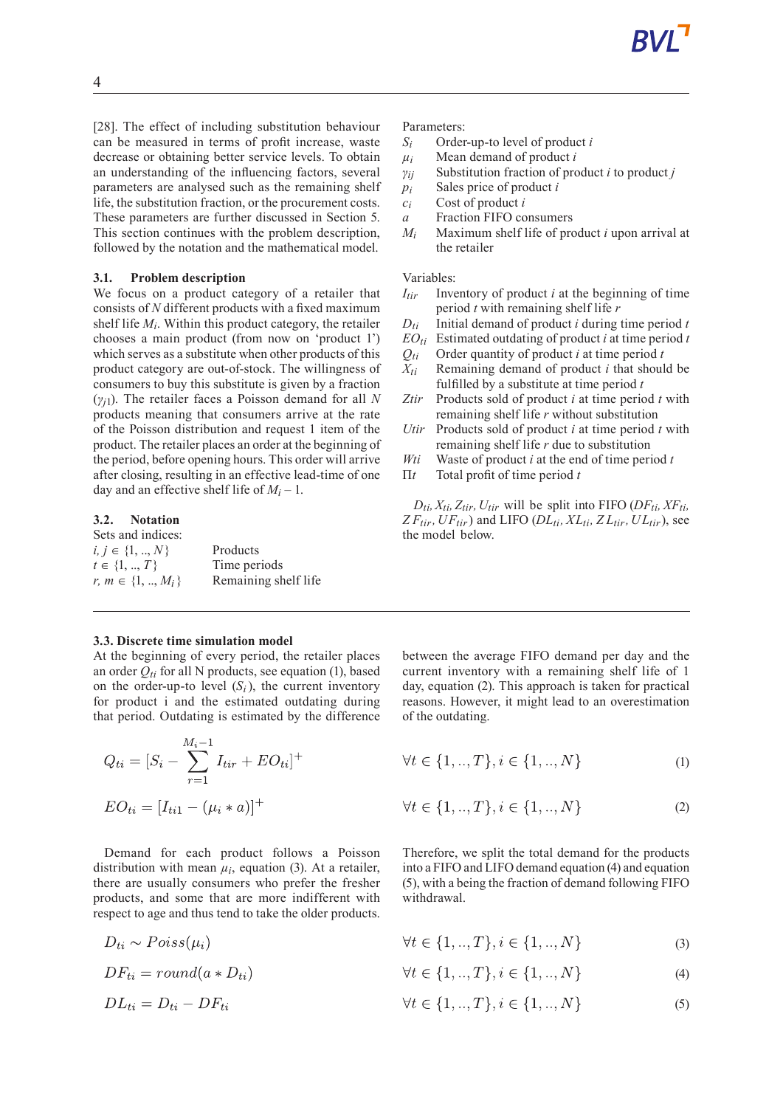[28]. The effect of including substitution behaviour can be measured in terms of profit increase, waste decrease or obtaining better service levels. To obtain an understanding of the influencing factors, several parameters are analysed such as the remaining shelf life, the substitution fraction, or the procurement costs. These parameters are further discussed in Section 5. This section continues with the problem description, followed by the notation and the mathematical model.

### **3.1. Problem description**

We focus on a product category of a retailer that consists of *N* different products with a fixed maximum shelf life *Mi* . Within this product category, the retailer chooses a main product (from now on 'product 1') which serves as a substitute when other products of this product category are out-of-stock. The willingness of consumers to buy this substitute is given by a fraction (*γj*1). The retailer faces a Poisson demand for all *N* products meaning that consumers arrive at the rate of the Poisson distribution and request 1 item of the product. The retailer places an order at the beginning of the period, before opening hours. This order will arrive after closing, resulting in an effective lead-time of one day and an effective shelf life of  $M_i - 1$ .

## **3.2. Notation**

| Sets and indices:       |                      |
|-------------------------|----------------------|
| $i, j \in \{1, , N\}$   | Products             |
| $t \in \{1, , T\}$      | Time periods         |
| r, $m \in \{1, , M_i\}$ | Remaining shelf life |

### **3.3. Discrete time simulation model**

At the beginning of every period, the retailer places an order  $Q_{ti}$  for all N products, see equation (1), based on the order-up-to level  $(S_i)$ , the current inventory for product i and the estimated outdating during that period. Outdating is estimated by the difference

$$
Q_{ti} = [S_i - \sum_{r=1}^{M_i - 1} I_{tir} + EO_{ti}]^{+}
$$

$$
EO_{ti} = [I_{ti1} - (\mu_i * a)]^{+}
$$

Demand for each product follows a Poisson distribution with mean  $\mu_i$ , equation (3). At a retailer, there are usually consumers who prefer the fresher products, and some that are more indifferent with respect to age and thus tend to take the older products.

$$
D_{ti} \sim Poiss(\mu_i)
$$
  

$$
DF_{ti} = round(a * D_{ti})
$$
  

$$
DL_{ti} = D_{ti} - DF_{ti}
$$

Parameters:

- *Si* Order-up-to level of product *i*
- $\mu_i$  Mean demand of product *i*
- *γij* Substitution fraction of product *i* to product *j*
- *pi* Sales price of product *i*
- *ci* Cost of product *i*
- *a* Fraction FIFO consumers
- $M_i$  Maximum shelf life of product *i* upon arrival at the retailer

### Variables:

- *Itir* Inventory of product *i* at the beginning of time period *t* with remaining shelf life *r*
- $D_{ti}$  Initial demand of product *i* during time period *t*
- $EO_{ti}$  Estimated outdating of product *i* at time period *t*
- $Q_{ti}$  Order quantity of product *i* at time period *t*
- *Xti* Remaining demand of product *i* that should be fulfilled by a substitute at time period *t*
- *Ztir* Products sold of product *i* at time period *t* with remaining shelf life *r* without substitution
- *Utir* Products sold of product *i* at time period *t* with remaining shelf life *r* due to substitution
- *Wti* Waste of product *i* at the end of time period *t*
- Π*t* Total profit of time period *t*

 $D_{ti}$ ,  $X_{ti}$ ,  $Z_{tir}$ ,  $U_{tir}$  will be split into FIFO (*DF*<sub>ti</sub>,  $XF_{ti}$ ,  $ZF_{tir}$ ,  $UF_{tir}$ ) and LIFO ( $DL_{ti}$ ,  $XL_{ti}$ ,  $ZL_{tir}$ ,  $UL_{tir}$ ), see the model below.

between the average FIFO demand per day and the current inventory with a remaining shelf life of 1 day, equation (2). This approach is taken for practical reasons. However, it might lead to an overestimation of the outdating.

$$
\forall t \in \{1, ..., T\}, i \in \{1, ..., N\}
$$
 (1)

$$
\forall t \in \{1, ..., T\}, i \in \{1, ..., N\}
$$
 (2)

Therefore, we split the total demand for the products into a FIFO and LIFO demand equation (4) and equation (5), with a being the fraction of demand following FIFO withdrawal.

$$
\forall t \in \{1, ..., T\}, i \in \{1, ..., N\}
$$
 (3)

$$
\forall t \in \{1, ..., T\}, i \in \{1, ..., N\}
$$
 (4)

$$
\forall t \in \{1,..,T\}, i \in \{1,..,N\} \tag{5}
$$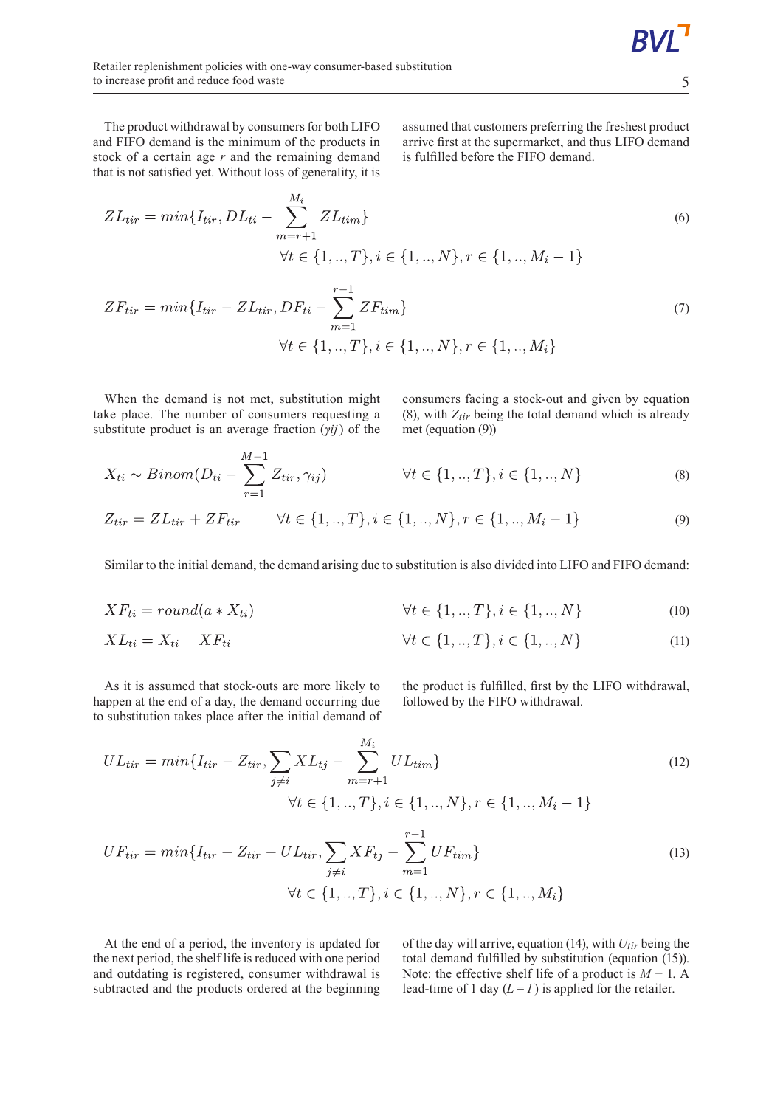The product withdrawal by consumers for both LIFO and FIFO demand is the minimum of the products in stock of a certain age *r* and the remaining demand that is not satisfied yet. Without loss of generality, it is assumed that customers preferring the freshest product arrive first at the supermarket, and thus LIFO demand is fulfilled before the FIFO demand.

$$
ZL_{tir} = min\{I_{tir}, DL_{ti} - \sum_{m=r+1}^{M_i} ZL_{tim}\}
$$
  

$$
\forall t \in \{1,..,T\}, i \in \{1,..,N\}, r \in \{1,..,M_i-1\}
$$
 (6)

$$
ZF_{tir} = min\{I_{tir} - ZL_{tir}, DF_{ti} - \sum_{m=1}^{r-1} ZF_{tim}\}\
$$

$$
\forall t \in \{1,..,T\}, i \in \{1,..,N\}, r \in \{1,..,M_i\}
$$
(7)

When the demand is not met, substitution might take place. The number of consumers requesting a substitute product is an average fraction (*γij*) of the consumers facing a stock-out and given by equation (8), with *Ztir* being the total demand which is already met (equation (9))

$$
X_{ti} \sim Binom(D_{ti} - \sum_{r=1}^{M-1} Z_{tir}, \gamma_{ij}) \qquad \forall t \in \{1,..,T\}, i \in \{1,..,N\}
$$
\n(8)

$$
Z_{tir} = Z L_{tir} + Z F_{tir} \qquad \forall t \in \{1,..,T\}, i \in \{1,..,N\}, r \in \{1,..,M_i-1\}
$$
\n(9)

Similar to the initial demand, the demand arising due to substitution is also divided into LIFO and FIFO demand:

$$
XF_{ti} = round(a * X_{ti}) \qquad \forall t \in \{1, .., T\}, i \in \{1, .., N\}
$$
 (10)

$$
XL_{ti} = X_{ti} - XF_{ti}
$$
\n
$$
\forall t \in \{1,..,T\}, i \in \{1,..,N\}
$$
\n(11)

As it is assumed that stock-outs are more likely to happen at the end of a day, the demand occurring due to substitution takes place after the initial demand of the product is fulfilled, first by the LIFO withdrawal, followed by the FIFO withdrawal.

$$
UL_{tir} = min\{I_{tir} - Z_{tir}, \sum_{j \neq i} XL_{tj} - \sum_{m=r+1}^{M_i} UL_{tim}\}
$$
  

$$
\forall t \in \{1, ..., T\}, i \in \{1, ..., N\}, r \in \{1, ..., M_i - 1\}
$$
 (12)

$$
UF_{tir} = min\{I_{tir} - Z_{tir} - UL_{tir}, \sum_{j \neq i} XF_{tj} - \sum_{m=1}^{r-1} UF_{tim}\}\
$$
  

$$
\forall t \in \{1, ..., T\}, i \in \{1, ..., N\}, r \in \{1, ..., M_i\}
$$
 (13)

At the end of a period, the inventory is updated for the next period, the shelf life is reduced with one period and outdating is registered, consumer withdrawal is subtracted and the products ordered at the beginning of the day will arrive, equation (14), with *Utir* being the total demand fulfilled by substitution (equation (15)). Note: the effective shelf life of a product is *M* − 1. A lead-time of 1 day  $(L=1)$  is applied for the retailer.

5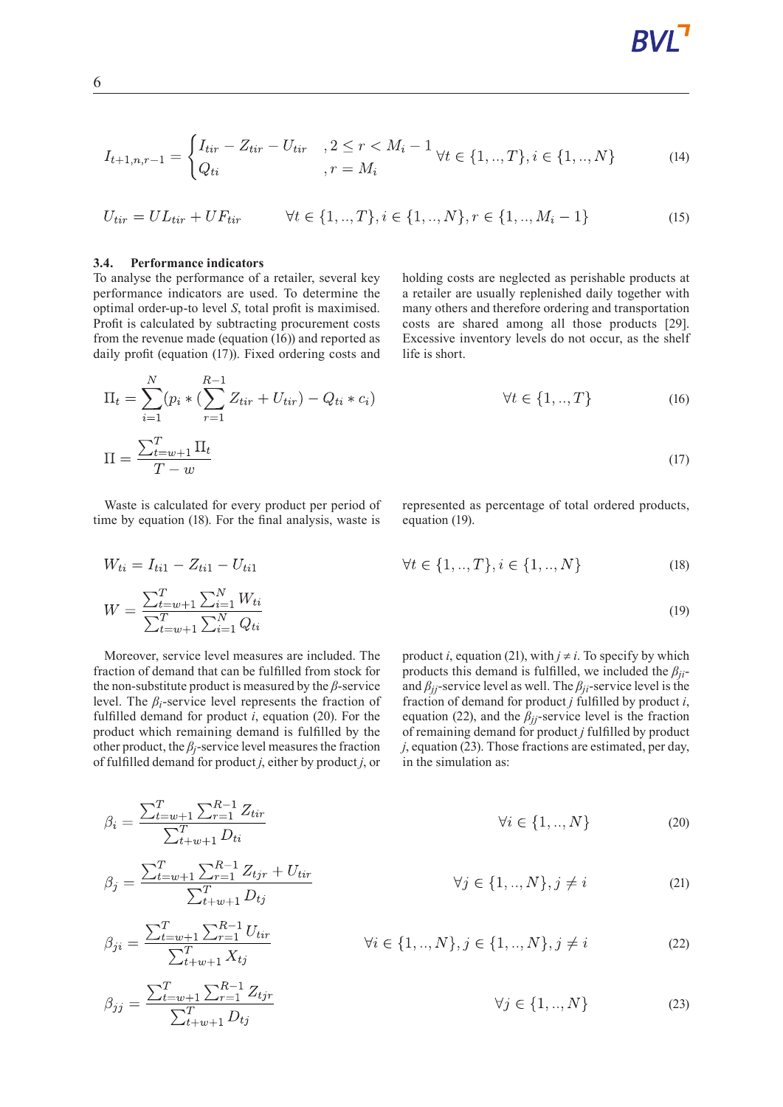$$
I_{t+1,n,r-1} = \begin{cases} I_{tir} - Z_{tir} - U_{tir} & , 2 \le r < M_i - 1 \\ Q_{ti} & , r = M_i \end{cases} \forall t \in \{1,..,T\}, i \in \{1,..,N\}
$$
 (14)

$$
U_{tir} = UL_{tir} + UF_{tir} \qquad \forall t \in \{1,..,T\}, i \in \{1,..,N\}, r \in \{1,..,M_i-1\}
$$
\n
$$
(15)
$$

#### **3.4. Performance indicators**

 $W_{ti} = I_{ti1} - Z_{ti1} - U_{ti1}$ 

 $\beta_i = \frac{\sum_{t=w+1}^{T} \sum_{r=1}^{R-1} Z_{tir}}{\sum_{t+w+1}^{T} D_{ti}}$ 

 $\beta_{ji} = \frac{\sum_{t=w+1}^{T} \sum_{r=1}^{R-1} U_{tir}}{\sum_{t+w+1}^{T} X_{ti}}$ 

 $\overline{1}$ 

To analyse the performance of a retailer, several key performance indicators are used. To determine the optimal order-up-to level *S*, total profit is maximised. Profit is calculated by subtracting procurement costs from the revenue made (equation (16)) and reported as daily profit (equation (17)). Fixed ordering costs and holding costs are neglected as perishable products at a retailer are usually replenished daily together with many others and therefore ordering and transportation costs are shared among all those products [29]. Excessive inventory levels do not occur, as the shelf life is short.

$$
\Pi_{t} = \sum_{i=1}^{N} (p_{i} * (\sum_{r=1}^{R-1} Z_{tir} + U_{tir}) - Q_{ti} * c_{i}) \qquad \forall t \in \{1,..,T\}
$$
\n
$$
\Pi = \frac{\sum_{t=w+1}^{T} \Pi_{t}}{T-w}
$$
\n(17)

Waste is calculated for every product per period of time by equation (18). For the final analysis, waste is represented as percentage of total ordered products, equation (19).

$$
\forall t \in \{1, ..., T\}, i \in \{1, ..., N\}
$$
 (18)

$$
W = \frac{\sum_{t=w+1}^{T} \sum_{i=1}^{N} W_{ti}}{\sum_{t=w+1}^{T} \sum_{i=1}^{N} Q_{ti}} \tag{19}
$$

Moreover, service level measures are included. The fraction of demand that can be fulfilled from stock for the non-substitute product is measured by the *β*-service level. The *βi*-service level represents the fraction of fulfilled demand for product  $i$ , equation (20). For the product which remaining demand is fulfilled by the other product, the  $\beta$ *j*-service level measures the fraction of fulfilled demand for product *j*, either by product *j*, or

product *i*, equation (21), with  $j \neq i$ . To specify by which products this demand is fulfilled, we included the *βji*and *βjj*-service level as well. The *βji*-service level is the fraction of demand for product *j* fulfilled by product *i*, equation (22), and the  $\beta_{ij}$ -service level is the fraction of remaining demand for product *j* fulfilled by product *j*, equation (23). Those fractions are estimated, per day, in the simulation as:

$$
\forall i \in \{1, ..., N\} \tag{20}
$$

$$
\beta_j = \frac{\sum_{t=w+1}^{T} \sum_{r=1}^{R-1} Z_{tjr} + U_{tir}}{\sum_{t+w+1}^{T} D_{tj}} \qquad \forall j \in \{1,..,N\}, j \neq i \qquad (21)
$$

$$
\forall i \in \{1, ..., N\}, j \in \{1, ..., N\}, j \neq i \tag{22}
$$

$$
\beta_{jj} = \frac{\sum_{t=w+1}^{T} \sum_{r=1}^{R-1} Z_{tjr}}{\sum_{t+w+1}^{T} D_{tj}} \qquad \forall j \in \{1,..,N\}
$$
 (23)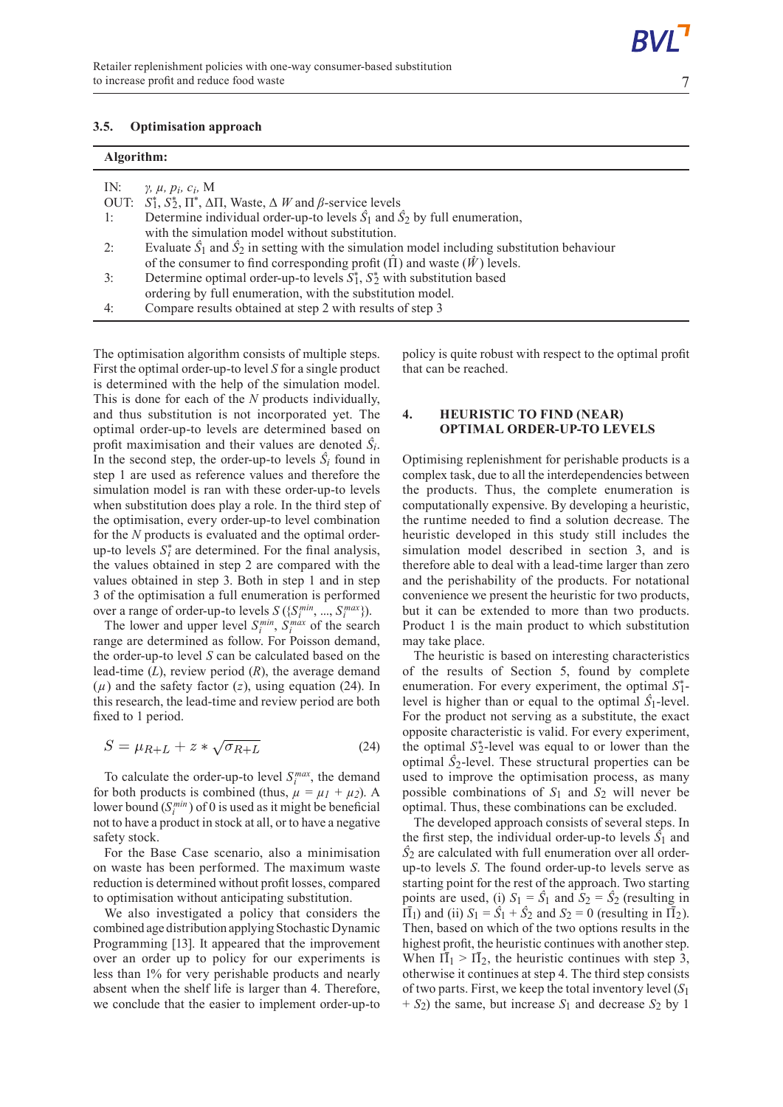## **3.5. Optimisation approach**

| Algorithm: |                                                                                                            |
|------------|------------------------------------------------------------------------------------------------------------|
| IN:        | $\gamma$ , $\mu$ , $p_i$ , $c_i$ , M                                                                       |
|            | OUT: $S_1^*, S_2^*, \Pi^*, \Delta \Pi$ , Waste, $\Delta W$ and $\beta$ -service levels                     |
| 1:         | Determine individual order-up-to levels $\hat{S}_1$ and $\hat{S}_2$ by full enumeration,                   |
|            | with the simulation model without substitution.                                                            |
| 2:         | Evaluate $\hat{S}_1$ and $\hat{S}_2$ in setting with the simulation model including substitution behaviour |
|            | of the consumer to find corresponding profit $(\hat{\Pi})$ and waste $(\hat{W})$ levels.                   |
| 3:         | Determine optimal order-up-to levels $S_1^*$ , $S_2^*$ with substitution based                             |
|            | ordering by full enumeration, with the substitution model.                                                 |
| 4:         | Compare results obtained at step 2 with results of step 3                                                  |

The optimisation algorithm consists of multiple steps. First the optimal order-up-to level *S* for a single product is determined with the help of the simulation model. This is done for each of the *N* products individually, and thus substitution is not incorporated yet. The optimal order-up-to levels are determined based on profit maximisation and their values are denoted  $S_i$ . In the second step, the order-up-to levels  $\hat{S}_i$  found in step 1 are used as reference values and therefore the simulation model is ran with these order-up-to levels when substitution does play a role. In the third step of the optimisation, every order-up-to level combination for the *N* products is evaluated and the optimal orderup-to levels  $S_i^*$  are determined. For the final analysis, the values obtained in step 2 are compared with the values obtained in step 3. Both in step 1 and in step 3 of the optimisation a full enumeration is performed over a range of order-up-to levels  $S(\{S_i^{min}, ..., S_i^{max}\})$ .

The lower and upper level  $S_i^{min}$ ,  $S_i^{max}$  of the search range are determined as follow. For Poisson demand, the order-up-to level *S* can be calculated based on the lead-time (*L*), review period (*R*), the average demand  $(\mu)$  and the safety factor  $(z)$ , using equation (24). In this research, the lead-time and review period are both fixed to 1 period.

$$
S = \mu_{R+L} + z * \sqrt{\sigma_{R+L}} \tag{24}
$$

To calculate the order-up-to level  $S_i^{max}$ , the demand for both products is combined (thus,  $\mu = \mu_1 + \mu_2$ ). A lower bound  $(S_i^{min})$  of 0 is used as it might be beneficial not to have a product in stock at all, or to have a negative safety stock.

For the Base Case scenario, also a minimisation on waste has been performed. The maximum waste reduction is determined without profit losses, compared to optimisation without anticipating substitution.

We also investigated a policy that considers the combined age distribution applying Stochastic Dynamic Programming [13]. It appeared that the improvement over an order up to policy for our experiments is less than 1% for very perishable products and nearly absent when the shelf life is larger than 4. Therefore, we conclude that the easier to implement order-up-to policy is quite robust with respect to the optimal profit that can be reached.

## **4. HEURISTIC TO FIND (NEAR) OPTIMAL ORDER-UP-TO LEVELS**

Optimising replenishment for perishable products is a complex task, due to all the interdependencies between the products. Thus, the complete enumeration is computationally expensive. By developing a heuristic, the runtime needed to find a solution decrease. The heuristic developed in this study still includes the simulation model described in section 3, and is therefore able to deal with a lead-time larger than zero and the perishability of the products. For notational convenience we present the heuristic for two products, but it can be extended to more than two products. Product 1 is the main product to which substitution may take place.

The heuristic is based on interesting characteristics of the results of Section 5, found by complete enumeration. For every experiment, the optimal  $S_1^*$ level is higher than or equal to the optimal  $\hat{S}_1$ -level. For the product not serving as a substitute, the exact opposite characteristic is valid. For every experiment, the optimal  $S_2^*$ -level was equal to or lower than the optimal  $\hat{S}_2$ -level. These structural properties can be used to improve the optimisation process, as many possible combinations of  $S_1$  and  $S_2$  will never be optimal. Thus, these combinations can be excluded.

The developed approach consists of several steps. In the first step, the individual order-up-to levels  $\hat{S}_1$  and *Ŝ*2 are calculated with full enumeration over all orderup-to levels *S*. The found order-up-to levels serve as starting point for the rest of the approach. Two starting points are used, (i)  $S_1 = \hat{S}_1$  and  $S_2 = \hat{S}_2$  (resulting in  $\overline{11}$ <sub>1</sub>) and (ii)  $S_1 = \overline{S_1} + \overline{S_2}$  and  $S_2 = 0$  (resulting in  $\overline{11}$ <sub>2</sub>). Then, based on which of the two options results in the highest profit, the heuristic continues with another step. When  $\overline{II}_1 > \overline{II}_2$ , the heuristic continues with step 3, otherwise it continues at step 4. The third step consists of two parts.First, we keep the total inventory level (*S*1  $+ S_2$ ) the same, but increase  $S_1$  and decrease  $S_2$  by 1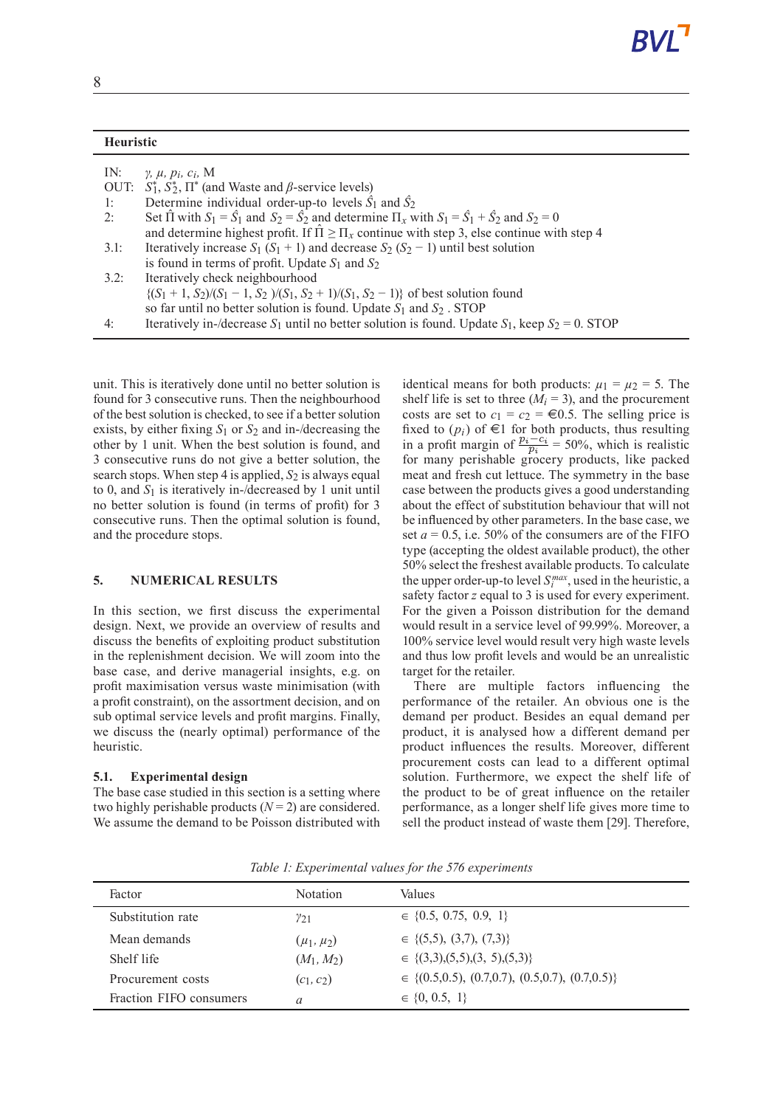| <b>Heuristic</b> |                                                                                                                                     |
|------------------|-------------------------------------------------------------------------------------------------------------------------------------|
| IN:              | $\gamma$ , $\mu$ , $p_i$ , $c_i$ , M                                                                                                |
| OUT:             | $S_1^*, S_2^*, \Pi^*$ (and Waste and $\beta$ -service levels)                                                                       |
| 1:               | Determine individual order-up-to levels $\hat{S}_1$ and $\hat{S}_2$                                                                 |
| 2:               | Set $\hat{\Pi}$ with $S_1 = \hat{S}_1$ and $S_2 = \hat{S}_2$ and determine $\Pi_x$ with $S_1 = \hat{S}_1 + \hat{S}_2$ and $S_2 = 0$ |
|                  | and determine highest profit. If $\hat{\Pi} \geq \Pi_x$ continue with step 3, else continue with step 4                             |
| 3.1:             | Iteratively increase $S_1$ ( $S_1$ + 1) and decrease $S_2$ ( $S_2$ - 1) until best solution                                         |
|                  | is found in terms of profit. Update $S_1$ and $S_2$                                                                                 |
| 3.2:             | Iteratively check neighbourhood                                                                                                     |
|                  | $\{(S_1 + 1, S_2)/(S_1 - 1, S_2)/(S_1, S_2 + 1)/(S_1, S_2 - 1)\}\$ of best solution found                                           |
|                  | so far until no better solution is found. Update $S_1$ and $S_2$ . STOP                                                             |
| 4:               | Iteratively in-/decrease $S_1$ until no better solution is found. Update $S_1$ , keep $S_2 = 0$ . STOP                              |

unit. This is iteratively done until no better solution is found for 3 consecutive runs. Then the neighbourhood of the best solution is checked, to see if a better solution exists, by either fixing *S*1 or *S*2 and in-/decreasing the other by 1 unit. When the best solution is found, and 3 consecutive runs do not give a better solution, the search stops. When step 4 is applied,  $S_2$  is always equal to 0, and *S*1 is iteratively in-/decreased by 1 unit until no better solution is found (in terms of profit) for 3 consecutive runs. Then the optimal solution is found, and the procedure stops.

#### **5. NUMERICAL RESULTS**

In this section, we first discuss the experimental design. Next, we provide an overview of results and discuss the benefits of exploiting product substitution in the replenishment decision. We will zoom into the base case, and derive managerial insights, e.g. on profit maximisation versus waste minimisation (with a profit constraint), on the assortment decision, and on sub optimal service levels and profit margins. Finally, we discuss the (nearly optimal) performance of the heuristic.

#### **5.1. Experimental design**

The base case studied in this section is a setting where two highly perishable products  $(N = 2)$  are considered. We assume the demand to be Poisson distributed with identical means for both products:  $\mu_1 = \mu_2 = 5$ . The shelf life is set to three  $(M_i = 3)$ , and the procurement costs are set to  $c_1 = c_2 = \text{\textsterling}0.5$ . The selling price is fixed to  $(p_i)$  of  $\in$ 1 for both products, thus resulting in a profit margin of  $\frac{p_i - c_i}{p_i} = 50\%$ , which is realistic for many perishable grocery products, like packed meat and fresh cut lettuce. The symmetry in the base case between the products gives a good understanding about the effect of substitution behaviour that will not be influenced by other parameters. In the base case, we set  $a = 0.5$ , i.e. 50% of the consumers are of the FIFO type (accepting the oldest available product), the other 50% select the freshest available products. To calculate the upper order-up-to level  $S_i^{max}$ , used in the heuristic, a safety factor *z* equal to 3 is used for every experiment. For the given a Poisson distribution for the demand would result in a service level of 99.99%. Moreover, a 100% service level would result very high waste levels and thus low profit levels and would be an unrealistic target for the retailer.

There are multiple factors influencing the performance of the retailer. An obvious one is the demand per product. Besides an equal demand per product, it is analysed how a different demand per product influences the results. Moreover, different procurement costs can lead to a different optimal solution. Furthermore, we expect the shelf life of the product to be of great influence on the retailer performance, as a longer shelf life gives more time to sell the product instead of waste them [29]. Therefore,

| Factor                  | <b>Notation</b>  | Values                                                    |
|-------------------------|------------------|-----------------------------------------------------------|
| Substitution rate       | $\gamma_{21}$    | $\in \{0.5, 0.75, 0.9, 1\}$                               |
| Mean demands            | $(\mu_1, \mu_2)$ | $\in \{(5,5), (3,7), (7,3)\}\$                            |
| Shelf life              | $(M_1, M_2)$     | $\in \{(3,3), (5,5), (3, 5), (5,3)\}\$                    |
| Procurement costs       | $(c_1, c_2)$     | $\in \{(0.5, 0.5), (0.7, 0.7), (0.5, 0.7), (0.7, 0.5)\}\$ |
| Fraction FIFO consumers | $\alpha$         | $\in \{0, 0.5, 1\}$                                       |

*Table 1: Experimental values for the 576 experiments*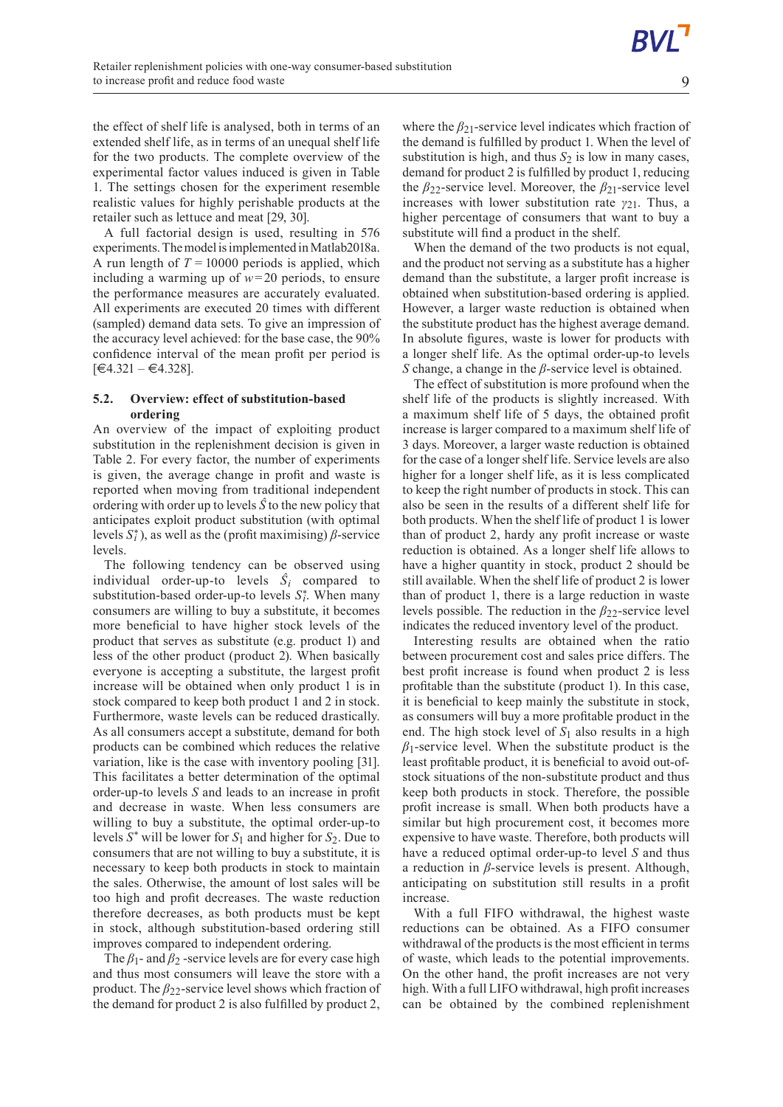the effect of shelf life is analysed, both in terms of an extended shelf life, as in terms of an unequal shelf life for the two products. The complete overview of the experimental factor values induced is given in Table 1. The settings chosen for the experiment resemble realistic values for highly perishable products at the retailer such as lettuce and meat [29, 30].

A full factorial design is used, resulting in 576 experiments. The model is implemented in Matlab2018a. A run length of  $T = 10000$  periods is applied, which including a warming up of *w*=20 periods, to ensure the performance measures are accurately evaluated. All experiments are executed 20 times with different (sampled) demand data sets. To give an impression of the accuracy level achieved: for the base case, the 90% confidence interval of the mean profit per period is  $[€4.321 - €4.328]$ .

### **5.2. Overview: effect of substitution-based ordering**

An overview of the impact of exploiting product substitution in the replenishment decision is given in Table 2. For every factor, the number of experiments is given, the average change in profit and waste is reported when moving from traditional independent ordering with order up to levels *Ŝ* to the new policy that anticipates exploit product substitution (with optimal levels  $S_i^*$ ), as well as the (profit maximising)  $\beta$ -service levels.

The following tendency can be observed using individual order-up-to levels  $\hat{S}_i$  compared to substitution-based order-up-to levels  $S_i^*$ . When many consumers are willing to buy a substitute, it becomes more beneficial to have higher stock levels of the product that serves as substitute (e.g. product 1) and less of the other product (product 2). When basically everyone is accepting a substitute, the largest profit increase will be obtained when only product 1 is in stock compared to keep both product 1 and 2 in stock. Furthermore, waste levels can be reduced drastically. As all consumers accept a substitute, demand for both products can be combined which reduces the relative variation, like is the case with inventory pooling [31]. This facilitates a better determination of the optimal order-up-to levels *S* and leads to an increase in profit and decrease in waste. When less consumers are willing to buy a substitute, the optimal order-up-to levels *S* \* will be lower for *S*<sup>1</sup> and higher for *S*2. Due to consumers that are not willing to buy a substitute, it is necessary to keep both products in stock to maintain the sales. Otherwise, the amount of lost sales will be too high and profit decreases. The waste reduction therefore decreases, as both products must be kept in stock, although substitution-based ordering still improves compared to independent ordering.

The *β*<sub>1</sub>- and *β*<sub>2</sub> -service levels are for every case high and thus most consumers will leave the store with a product. The *β*22-service level shows which fraction of the demand for product 2 is also fulfilled by product 2,

where the *β*<sub>21</sub>-service level indicates which fraction of the demand is fulfilled by product 1. When the level of substitution is high, and thus  $S_2$  is low in many cases, demand for product 2 is fulfilled by product 1, reducing the *β*22-service level. Moreover, the *β*21-service level increases with lower substitution rate *γ*21. Thus, a higher percentage of consumers that want to buy a substitute will find a product in the shelf.

When the demand of the two products is not equal, and the product not serving as a substitute has a higher demand than the substitute, a larger profit increase is obtained when substitution-based ordering is applied. However, a larger waste reduction is obtained when the substitute product has the highest average demand. In absolute figures, waste is lower for products with a longer shelf life. As the optimal order-up-to levels *S* change, a change in the *β*-service level is obtained.

The effect of substitution is more profound when the shelf life of the products is slightly increased. With a maximum shelf life of 5 days, the obtained profit increase is larger compared to a maximum shelf life of 3 days. Moreover, a larger waste reduction is obtained for the case of a longer shelf life. Service levels are also higher for a longer shelf life, as it is less complicated to keep the right number of products in stock. This can also be seen in the results of a different shelf life for both products. When the shelf life of product 1 is lower than of product 2, hardy any profit increase or waste reduction is obtained. As a longer shelf life allows to have a higher quantity in stock, product 2 should be still available. When the shelf life of product 2 is lower than of product 1, there is a large reduction in waste levels possible. The reduction in the *β*22-service level indicates the reduced inventory level of the product.

Interesting results are obtained when the ratio between procurement cost and sales price differs. The best profit increase is found when product 2 is less profitable than the substitute (product 1). In this case, it is beneficial to keep mainly the substitute in stock, as consumers will buy a more profitable product in the end. The high stock level of *S*1 also results in a high  $\beta_1$ -service level. When the substitute product is the least profitable product, it is beneficial to avoid out-ofstock situations of the non-substitute product and thus keep both products in stock. Therefore, the possible profit increase is small. When both products have a similar but high procurement cost, it becomes more expensive to have waste. Therefore, both products will have a reduced optimal order-up-to level *S* and thus a reduction in *β*-service levels is present. Although, anticipating on substitution still results in a profit increase.

With a full FIFO withdrawal, the highest waste reductions can be obtained. As a FIFO consumer withdrawal of the products is the most efficient in terms of waste, which leads to the potential improvements. On the other hand, the profit increases are not very high. With a full LIFO withdrawal, high profit increases can be obtained by the combined replenishment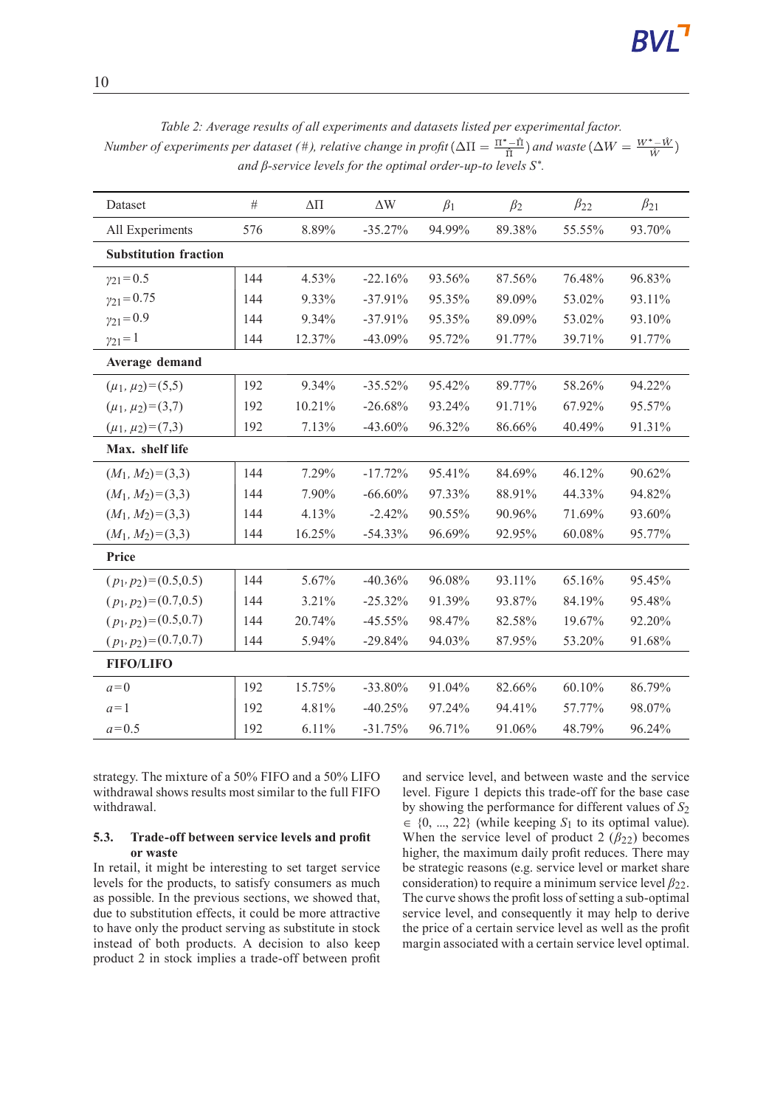| Dataset                      | $\#$ | $\Delta \Pi$ | $\Delta \text{W}$ |           |           | $\beta_{22}$ | $\beta_{21}$ |
|------------------------------|------|--------------|-------------------|-----------|-----------|--------------|--------------|
|                              |      |              |                   | $\beta_1$ | $\beta_2$ |              |              |
| All Experiments              | 576  | 8.89%        | $-35.27%$         | 94.99%    | 89.38%    | 55.55%       | 93.70%       |
| <b>Substitution fraction</b> |      |              |                   |           |           |              |              |
| $\gamma_{21} = 0.5$          | 144  | 4.53%        | $-22.16%$         | 93.56%    | 87.56%    | 76.48%       | 96.83%       |
| $y_{21} = 0.75$              | 144  | 9.33%        | $-37.91%$         | 95.35%    | 89.09%    | 53.02%       | 93.11%       |
| $\gamma_{21} = 0.9$          | 144  | 9.34%        | $-37.91%$         | 95.35%    | 89.09%    | 53.02%       | 93.10%       |
| $\gamma_{21} = 1$            | 144  | 12.37%       | $-43.09%$         | 95.72%    | 91.77%    | 39.71%       | 91.77%       |
| Average demand               |      |              |                   |           |           |              |              |
| $(\mu_1, \mu_2) = (5, 5)$    | 192  | 9.34%        | $-35.52%$         | 95.42%    | 89.77%    | 58.26%       | 94.22%       |
| $(\mu_1, \mu_2) = (3,7)$     | 192  | 10.21%       | $-26.68%$         | 93.24%    | 91.71%    | 67.92%       | 95.57%       |
| $(\mu_1, \mu_2) = (7,3)$     | 192  | 7.13%        | $-43.60%$         | 96.32%    | 86.66%    | 40.49%       | 91.31%       |
| Max. shelf life              |      |              |                   |           |           |              |              |
| $(M_1, M_2) = (3,3)$         | 144  | 7.29%        | $-17.72%$         | 95.41%    | 84.69%    | 46.12%       | 90.62%       |
| $(M_1, M_2) = (3,3)$         | 144  | 7.90%        | $-66.60\%$        | 97.33%    | 88.91%    | 44.33%       | 94.82%       |
| $(M_1, M_2) = (3,3)$         | 144  | 4.13%        | $-2.42%$          | 90.55%    | 90.96%    | 71.69%       | 93.60%       |
| $(M_1, M_2) = (3,3)$         | 144  | 16.25%       | $-54.33%$         | 96.69%    | 92.95%    | 60.08%       | 95.77%       |
| Price                        |      |              |                   |           |           |              |              |
| $(p_1, p_2) = (0.5, 0.5)$    | 144  | 5.67%        | $-40.36%$         | 96.08%    | 93.11%    | 65.16%       | 95.45%       |
| $(p_1, p_2) = (0.7, 0.5)$    | 144  | 3.21%        | $-25.32%$         | 91.39%    | 93.87%    | 84.19%       | 95.48%       |
| $(p_1, p_2) = (0.5, 0.7)$    | 144  | 20.74%       | $-45.55%$         | 98.47%    | 82.58%    | 19.67%       | 92.20%       |
| $(p_1, p_2) = (0.7, 0.7)$    | 144  | 5.94%        | $-29.84%$         | 94.03%    | 87.95%    | 53.20%       | 91.68%       |
| <b>FIFO/LIFO</b>             |      |              |                   |           |           |              |              |
| $a=0$                        | 192  | 15.75%       | $-33.80%$         | 91.04%    | 82.66%    | 60.10%       | 86.79%       |
| $a=1$                        | 192  | 4.81%        | $-40.25%$         | 97.24%    | 94.41%    | 57.77%       | 98.07%       |
| $a = 0.5$                    | 192  | 6.11%        | $-31.75%$         | 96.71%    | 91.06%    | 48.79%       | 96.24%       |

*Table 2: Average results of all experiments and datasets listed per experimental factor. Number of experiments per dataset* (#), *relative change in profit*  $(\Delta \Pi = \frac{\Pi^* - \hat{\Pi}}{\hat{\Pi}})$  *and* waste $(\Delta W = \frac{W^* - \hat{W}}{\hat{W}})$ *and β-service levels for the optimal order-up-to levels S* \* *.*

strategy. The mixture of a 50% FIFO and a 50% LIFO withdrawal shows results most similar to the full FIFO withdrawal.

### **5.3. Trade-off between service levels and profit or waste**

In retail, it might be interesting to set target service levels for the products, to satisfy consumers as much as possible. In the previous sections, we showed that, due to substitution effects, it could be more attractive to have only the product serving as substitute in stock instead of both products. A decision to also keep product 2 in stock implies a trade-off between profit and service level, and between waste and the service level. Figure 1 depicts this trade-off for the base case by showing the performance for different values of  $S_2$  $\in \{0, ..., 22\}$  (while keeping  $S_1$  to its optimal value). When the service level of product 2  $(\beta_{22})$  becomes higher, the maximum daily profit reduces. There may be strategic reasons (e.g. service level or market share consideration) to require a minimum service level *β*22. The curve shows the profit loss of setting a sub-optimal service level, and consequently it may help to derive the price of a certain service level as well as the profit margin associated with a certain service level optimal.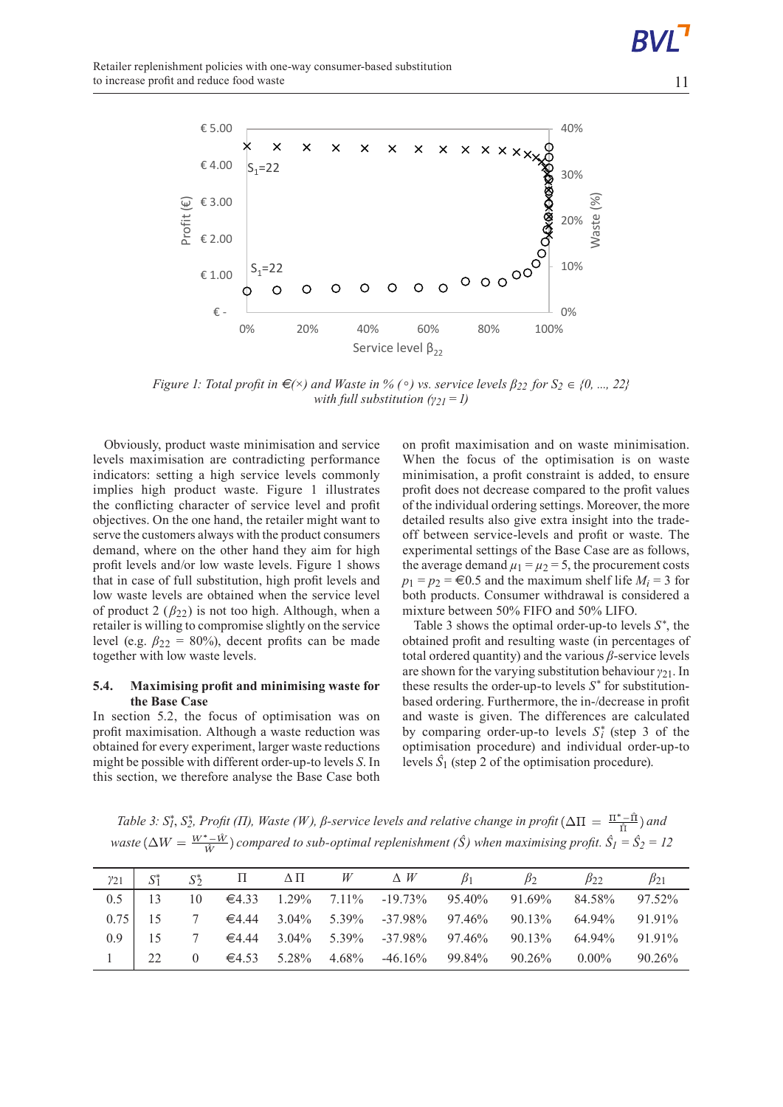

Figure 1: Total profit in  $\epsilon(x)$  and Waste in % ( $\circ$ ) vs. service levels  $\beta_{22}$  for  $S_2 \in \{0, ..., 22\}$ *with full substitution (γ21=1)*

Obviously, product waste minimisation and service levels maximisation are contradicting performance indicators: setting a high service levels commonly implies high product waste. Figure 1 illustrates the conflicting character of service level and profit objectives. On the one hand, the retailer might want to serve the customers always with the product consumers demand, where on the other hand they aim for high profit levels and/or low waste levels. Figure 1 shows that in case of full substitution, high profit levels and low waste levels are obtained when the service level of product 2  $(\beta_{22})$  is not too high. Although, when a retailer is willing to compromise slightly on the service level (e.g.  $\beta_{22} = 80\%$ ), decent profits can be made together with low waste levels.

#### **5.4. Maximising profit and minimising waste for the Base Case**

In section 5.2, the focus of optimisation was on profit maximisation. Although a waste reduction was obtained for every experiment, larger waste reductions might be possible with different order-up-to levels *S*. In this section, we therefore analyse the Base Case both

on profit maximisation and on waste minimisation. When the focus of the optimisation is on waste minimisation, a profit constraint is added, to ensure profit does not decrease compared to the profit values of the individual ordering settings. Moreover, the more detailed results also give extra insight into the tradeoff between service-levels and profit or waste. The experimental settings of the Base Case are as follows, the average demand  $\mu_1 = \mu_2 = 5$ , the procurement costs  $p_1 = p_2 = \text{\textsterling}0.5$  and the maximum shelf life  $M_i = 3$  for both products. Consumer withdrawal is considered a mixture between 50% FIFO and 50% LIFO.

Table 3 shows the optimal order-up-to levels  $S^*$ , the obtained profit and resulting waste (in percentages of total ordered quantity) and the various *β*-service levels are shown for the varying substitution behaviour*γ*21. In these results the order-up-to levels  $S^*$  for substitutionbased ordering. Furthermore, the in-/decrease in profit and waste is given. The differences are calculated by comparing order-up-to levels  $S_i^*$  (step 3 of the optimisation procedure) and individual order-up-to levels  $\hat{S}_1$  (step 2 of the optimisation procedure).

Table 3: S†, S $_2^*$ , Profit ( $\Pi$ ), Waste (W),  $\beta$ -service levels and relative change in profit ( $\Delta\Pi = \frac{\Pi^* - \Pi}{\hat{\Pi}}$ ) and *waste*  $(\Delta W = \frac{W^* - \hat{W}}{\hat{W}})$  *compared to sub-optimal replenishment (Ŝ)* when *maximising profit.*  $\hat{S}_1 = \hat{S}_2 = 12$ 

| $y_{21}$     |    | $S^*$ | $\Pi$ $\Delta \Pi$ $W$ $\Delta W$ |                                                      | $\mathcal{B}_1$ | $B_2$ | $\beta$ ?                                                     | $\beta_{21}$ |
|--------------|----|-------|-----------------------------------|------------------------------------------------------|-----------------|-------|---------------------------------------------------------------|--------------|
| $0.5$   13   |    |       |                                   |                                                      |                 |       | 10 $\in$ 4.33 1.29% 7.11% -19.73% 95.40% 91.69% 84.58% 97.52% |              |
| 0.75         |    |       |                                   |                                                      |                 |       | 7 $\in$ 4.44 3.04% 5.39% -37.98% 97.46% 90.13% 64.94% 91.91%  |              |
| $09 \mid 15$ |    |       |                                   |                                                      |                 |       | 7 $\in$ 4.44 3.04% 5.39% -37.98% 97.46% 90.13% 64.94% 91.91%  |              |
|              | 22 |       |                                   | 0 $\in$ 4.53 5.28% 4.68% -46.16% 99.84% 90.26% 0.00% |                 |       |                                                               | $90.26\%$    |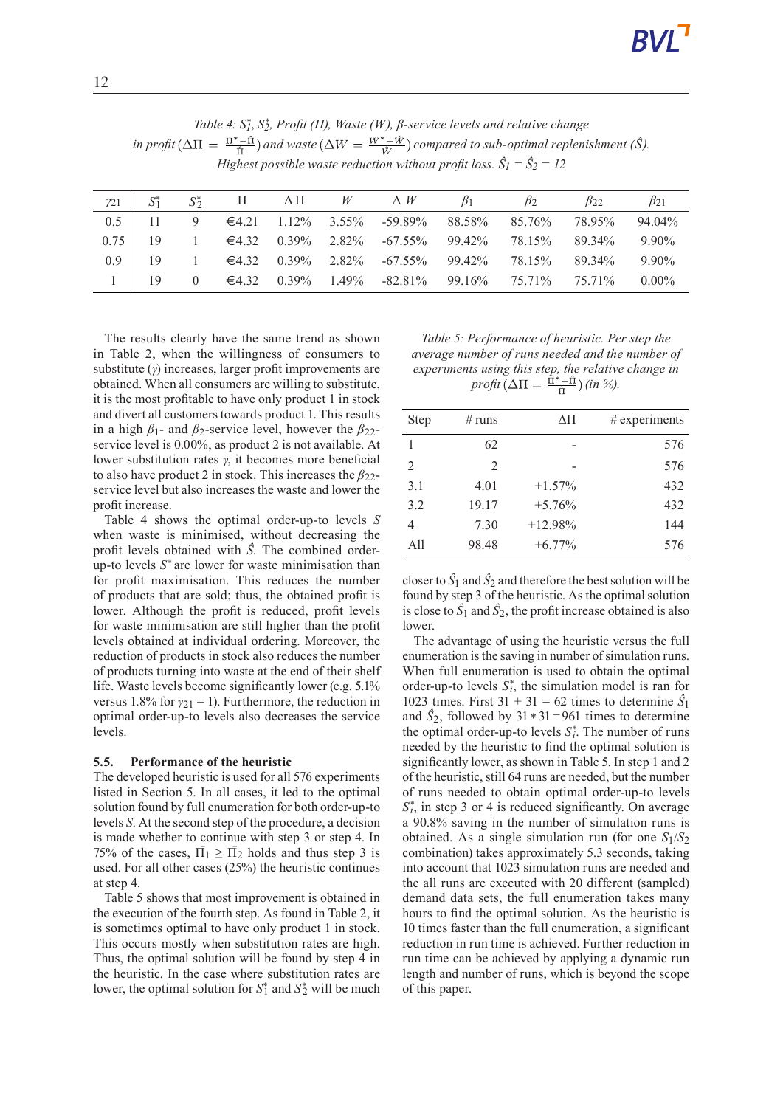| Table 4: $S_1^*$ , $S_2^*$ , Profit ( $\Pi$ ), Waste (W), $\beta$ -service levels and relative change                                                            |
|------------------------------------------------------------------------------------------------------------------------------------------------------------------|
| in profit $(\Delta \Pi = \frac{\Pi^* - \hat{\Pi}}{\hat{\Pi}})$ and waste $(\Delta W = \frac{W^* - \hat{W}}{\hat{W}})$ compared to sub-optimal replenishment (S). |
| Highest possible waste reduction without profit loss. $\hat{S}_1 = \hat{S}_2 = 12$                                                                               |

| $y_{21}$ | $S^*$ | $S^*$          | $\Pi$ $\Delta \Pi$ $W$ $\Delta W$ |  |                                                                                                   | B <sub>1</sub> | $\beta$ | $\beta_{22}$ | $\beta_{21}$ |
|----------|-------|----------------|-----------------------------------|--|---------------------------------------------------------------------------------------------------|----------------|---------|--------------|--------------|
| 0.5      |       |                |                                   |  | 9 $\in$ 4.21 1.12% 3.55% -59.89% 88.58% 85.76% 78.95%                                             |                |         |              | 94.04%       |
| 0.75     | - 19  |                |                                   |  | $1 \in \{4.32 \quad 0.39\% \quad 2.82\% \quad -67.55\% \quad 99.42\% \quad 78.15\% \quad 89.34\%$ |                |         |              | $9.90\%$     |
| 09       | -19   |                |                                   |  | $1 \in \{4.32 \quad 0.39\% \quad 2.82\% \quad -67.55\% \quad 99.42\% \quad 78.15\% \quad 89.34\%$ |                |         |              | $9.90\%$     |
|          | 19    | $\overline{0}$ |                                   |  | $\epsilon$ 4.32 0.39% 1.49% -82.81% 99.16% 75.71% 75.71%                                          |                |         |              | $0.00\%$     |

The results clearly have the same trend as shown in Table 2, when the willingness of consumers to substitute (*γ*) increases, larger profit improvements are obtained. When all consumers are willing to substitute, it is the most profitable to have only product 1 in stock and divert all customers towards product 1. This results in a high  $\beta_1$ - and  $\beta_2$ -service level, however the  $\beta_{22}$ service level is 0.00%, as product 2 is not available. At lower substitution rates *γ*, it becomes more beneficial to also have product 2 in stock. This increases the *β*22 service level but also increases the waste and lower the profit increase.

Table 4 shows the optimal order-up-to levels *S* when waste is minimised, without decreasing the profit levels obtained with *Ŝ*. The combined orderup-to levels *S* \* are lower for waste minimisation than for profit maximisation. This reduces the number of products that are sold; thus, the obtained profit is lower. Although the profit is reduced, profit levels for waste minimisation are still higher than the profit levels obtained at individual ordering. Moreover, the reduction of products in stock also reduces the number of products turning into waste at the end of their shelf life. Waste levels become significantly lower (e.g. 5.1% versus 1.8% for  $\gamma_{21} = 1$ ). Furthermore, the reduction in optimal order-up-to levels also decreases the service levels.

## **5.5. Performance of the heuristic**

The developed heuristic is used for all 576 experiments listed in Section 5. In all cases, it led to the optimal solution found by full enumeration for both order-up-to levels *S*. At the second step of the procedure, a decision is made whether to continue with step 3 or step 4. In 75% of the cases,  $\overline{\Pi}_1 \geq \overline{\Pi}_2$  holds and thus step 3 is used. For all other cases (25%) the heuristic continues at step 4.

Table 5 shows that most improvement is obtained in the execution of the fourth step. As found in Table 2, it is sometimes optimal to have only product 1 in stock. This occurs mostly when substitution rates are high. Thus, the optimal solution will be found by step 4 in the heuristic. In the case where substitution rates are lower, the optimal solution for  $S_1^*$  and  $S_2^*$  will be much

*Table 5: Performance of heuristic. Per step the average number of runs needed and the number of experiments using this step, the relative change in*  $\text{profit}(\Delta \Pi = \frac{\Pi^* - \Pi}{\hat{\pi}})$  *(in %).* 

| Step | # runs | ΔΠ        | $#$ experiments |
|------|--------|-----------|-----------------|
| 1    | 62     |           | 576             |
| 2    | 2      |           | 576             |
| 3.1  | 4.01   | $+1.57\%$ | 432             |
| 3.2  | 19.17  | $+5.76%$  | 432             |
| 4    | 7.30   | $+12.98%$ | 144             |
| A11  | 98.48  | $+6.77\%$ | 576             |

closer to  $\hat{S}_1$  and  $\hat{S}_2$  and therefore the best solution will be found by step 3 of the heuristic. As the optimal solution is close to  $\hat{S}_1$  and  $\hat{S}_2$ , the profit increase obtained is also lower.

The advantage of using the heuristic versus the full enumeration is the saving in number of simulation runs. When full enumeration is used to obtain the optimal order-up-to levels  $S_i^*$ , the simulation model is ran for 1023 times. First  $31 + 31 = 62$  times to determine  $\hat{S}_1$ and  $\hat{S}_2$ , followed by  $31 \times 31 = 961$  times to determine the optimal order-up-to levels  $S_i^*$ . The number of runs needed by the heuristic to find the optimal solution is significantly lower, as shown in Table 5. In step 1 and 2 of the heuristic, still 64 runs are needed, but the number of runs needed to obtain optimal order-up-to levels  $S_i^*$ , in step 3 or 4 is reduced significantly. On average a 90.8% saving in the number of simulation runs is obtained. As a single simulation run (for one  $S_1/S_2$ ) combination) takes approximately 5.3 seconds, taking into account that 1023 simulation runs are needed and the all runs are executed with 20 different (sampled) demand data sets, the full enumeration takes many hours to find the optimal solution. As the heuristic is 10 times faster than the full enumeration, a significant reduction in run time is achieved. Further reduction in run time can be achieved by applying a dynamic run length and number of runs, which is beyond the scope of this paper.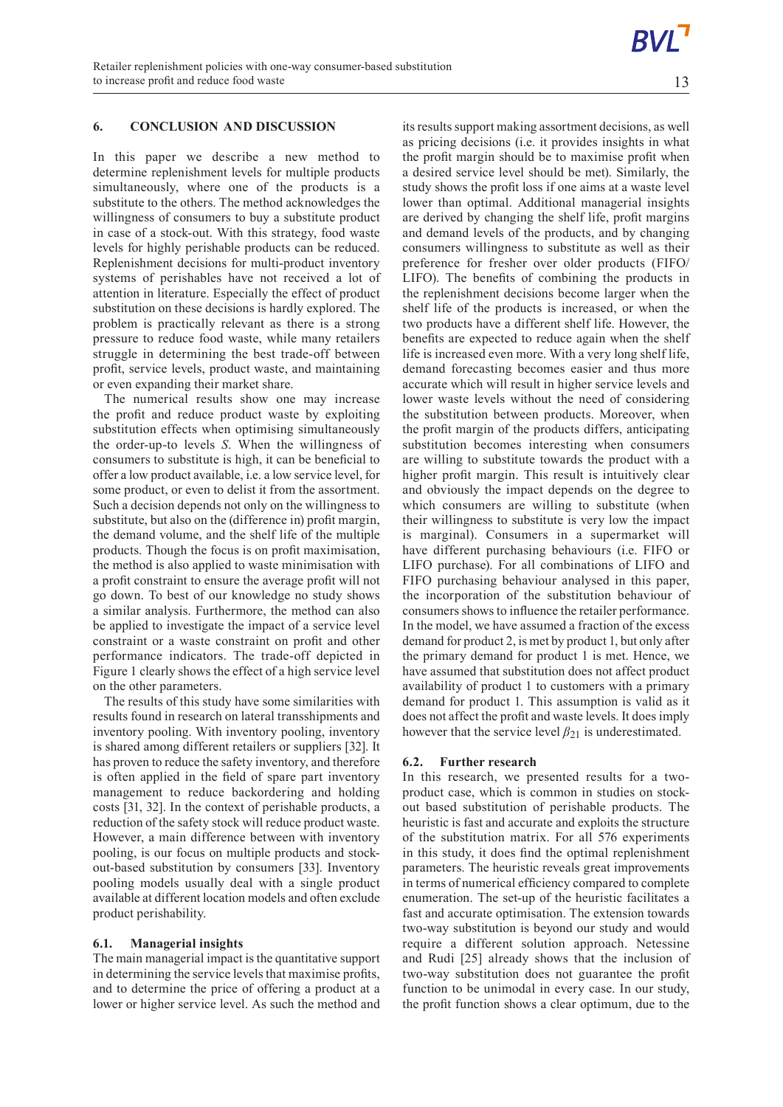## **6. CONCLUSION AND DISCUSSION**

In this paper we describe a new method to determine replenishment levels for multiple products simultaneously, where one of the products is a substitute to the others. The method acknowledges the willingness of consumers to buy a substitute product in case of a stock-out. With this strategy, food waste levels for highly perishable products can be reduced. Replenishment decisions for multi-product inventory systems of perishables have not received a lot of attention in literature. Especially the effect of product substitution on these decisions is hardly explored. The problem is practically relevant as there is a strong pressure to reduce food waste, while many retailers struggle in determining the best trade-off between profit, service levels, product waste, and maintaining or even expanding their market share.

The numerical results show one may increase the profit and reduce product waste by exploiting substitution effects when optimising simultaneously the order-up-to levels *S*. When the willingness of consumers to substitute is high, it can be beneficial to offer a low product available, i.e. a low service level, for some product, or even to delist it from the assortment. Such a decision depends not only on the willingness to substitute, but also on the (difference in) profit margin, the demand volume, and the shelf life of the multiple products. Though the focus is on profit maximisation, the method is also applied to waste minimisation with a profit constraint to ensure the average profit will not go down. To best of our knowledge no study shows a similar analysis. Furthermore, the method can also be applied to investigate the impact of a service level constraint or a waste constraint on profit and other performance indicators. The trade-off depicted in Figure 1 clearly shows the effect of a high service level on the other parameters.

The results of this study have some similarities with results found in research on lateral transshipments and inventory pooling. With inventory pooling, inventory is shared among different retailers or suppliers [32]. It has proven to reduce the safety inventory, and therefore is often applied in the field of spare part inventory management to reduce backordering and holding costs [31, 32]. In the context of perishable products, a reduction of the safety stock will reduce product waste. However, a main difference between with inventory pooling, is our focus on multiple products and stockout-based substitution by consumers [33]. Inventory pooling models usually deal with a single product available at different location models and often exclude product perishability.

#### **6.1. Managerial insights**

The main managerial impact is the quantitative support in determining the service levels that maximise profits, and to determine the price of offering a product at a lower or higher service level. As such the method and its results support making assortment decisions, as well as pricing decisions (i.e. it provides insights in what the profit margin should be to maximise profit when a desired service level should be met). Similarly, the study shows the profit loss if one aims at a waste level lower than optimal. Additional managerial insights are derived by changing the shelf life, profit margins and demand levels of the products, and by changing consumers willingness to substitute as well as their preference for fresher over older products (FIFO/ LIFO). The benefits of combining the products in the replenishment decisions become larger when the shelf life of the products is increased, or when the two products have a different shelf life. However, the benefits are expected to reduce again when the shelf life is increased even more. With a very long shelf life, demand forecasting becomes easier and thus more accurate which will result in higher service levels and lower waste levels without the need of considering the substitution between products. Moreover, when the profit margin of the products differs, anticipating substitution becomes interesting when consumers are willing to substitute towards the product with a higher profit margin. This result is intuitively clear and obviously the impact depends on the degree to which consumers are willing to substitute (when their willingness to substitute is very low the impact is marginal). Consumers in a supermarket will have different purchasing behaviours (i.e. FIFO or LIFO purchase). For all combinations of LIFO and FIFO purchasing behaviour analysed in this paper, the incorporation of the substitution behaviour of consumers shows to influence the retailer performance. In the model, we have assumed a fraction of the excess demand for product 2, is met by product 1, but only after the primary demand for product 1 is met. Hence, we have assumed that substitution does not affect product availability of product 1 to customers with a primary demand for product 1. This assumption is valid as it does not affect the profit and waste levels. It does imply however that the service level  $\beta_{21}$  is underestimated.

#### **6.2. Further research**

In this research, we presented results for a twoproduct case, which is common in studies on stockout based substitution of perishable products. The heuristic is fast and accurate and exploits the structure of the substitution matrix. For all 576 experiments in this study, it does find the optimal replenishment parameters. The heuristic reveals great improvements in terms of numerical efficiency compared to complete enumeration. The set-up of the heuristic facilitates a fast and accurate optimisation. The extension towards two-way substitution is beyond our study and would require a different solution approach. Netessine and Rudi [25] already shows that the inclusion of two-way substitution does not guarantee the profit function to be unimodal in every case. In our study, the profit function shows a clear optimum, due to the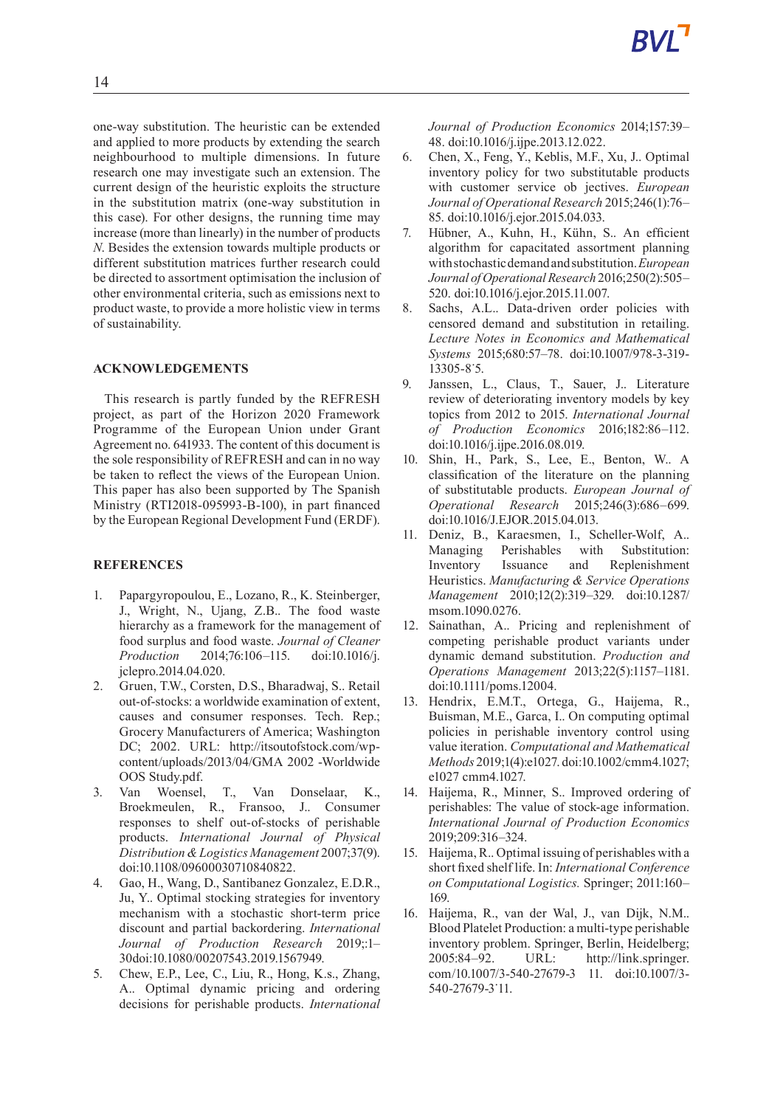one-way substitution. The heuristic can be extended and applied to more products by extending the search neighbourhood to multiple dimensions. In future research one may investigate such an extension. The current design of the heuristic exploits the structure in the substitution matrix (one-way substitution in this case). For other designs, the running time may increase (more than linearly) in the number of products *N*. Besides the extension towards multiple products or different substitution matrices further research could be directed to assortment optimisation the inclusion of other environmental criteria, such as emissions next to product waste, to provide a more holistic view in terms of sustainability.

### **ACKNOWLEDGEMENTS**

This research is partly funded by the REFRESH project, as part of the Horizon 2020 Framework Programme of the European Union under Grant Agreement no. 641933. The content of this document is the sole responsibility of REFRESH and can in no way be taken to reflect the views of the European Union. This paper has also been supported by The Spanish Ministry (RTI2018-095993-B-100), in part financed by the European Regional Development Fund (ERDF).

### **REFERENCES**

- 1. Papargyropoulou, E., Lozano, R., K. Steinberger, J., Wright, N., Ujang, Z.B.. The food waste hierarchy as a framework for the management of food surplus and food waste. *Journal of Cleaner Production* 2014;76:106–115. doi:10.1016/j. jclepro.2014.04.020.
- 2. Gruen, T.W., Corsten, D.S., Bharadwaj, S.. Retail out-of-stocks: a worldwide examination of extent, causes and consumer responses. Tech. Rep.; Grocery Manufacturers of America; Washington DC; 2002. URL: http://itsoutofstock.com/wpcontent/uploads/2013/04/GMA 2002 -Worldwide OOS Study.pdf.
- 3. Van Woensel, T., Van Donselaar, K., Broekmeulen, R., Fransoo, J.. Consumer responses to shelf out-of-stocks of perishable products. *International Journal of Physical Distribution&Logistics Management* 2007;37(9). doi:10.1108/09600030710840822.
- 4. Gao, H., Wang, D., Santibanez Gonzalez, E.D.R., Ju, Y.. Optimal stocking strategies for inventory mechanism with a stochastic short-term price discount and partial backordering. *International Journal of Production Research* 2019;:1– 30doi:10.1080/00207543.2019.1567949.
- 5. Chew, E.P., Lee, C., Liu, R., Hong, K.s., Zhang, A.. Optimal dynamic pricing and ordering decisions for perishable products. *International*

*Journal of Production Economics* 2014;157:39– 48. doi:10.1016/j.ijpe.2013.12.022.

- 6. Chen, X., Feng, Y., Keblis, M.F., Xu, J.. Optimal inventory policy for two substitutable products with customer service ob jectives. *European Journal of Operational Research* 2015;246(1):76– 85. doi:10.1016/j.ejor.2015.04.033.
- 7. Hübner, A., Kuhn, H., Kühn, S.. An efficient algorithm for capacitated assortment planning withstochasticdemandandsubstitution.*European Journal of OperationalResearch* 2016;250(2):505– 520. doi:10.1016/j.ejor.2015.11.007.
- 8. Sachs, A.L.. Data-driven order policies with censored demand and substitution in retailing. *Lecture Notes in Economics and Mathematical Systems* 2015;680:57–78. doi:10.1007/978-3-319- 13305-8˙5.
- 9. Janssen, L., Claus, T., Sauer, J.. Literature review of deteriorating inventory models by key topics from 2012 to 2015. *International Journal of Production Economics* 2016;182:86–112. doi:10.1016/j.ijpe.2016.08.019.
- 10. Shin, H., Park, S., Lee, E., Benton, W.. A classification of the literature on the planning of substitutable products. *European Journal of Operational Research* 2015;246(3):686–699. doi:10.1016/J.EJOR.2015.04.013.
- 11. Deniz, B., Karaesmen, I., Scheller-Wolf, A.. Managing Perishables with Substitution: Inventory Issuance and Replenishment Heuristics. *Manufacturing & Service Operations Management* 2010;12(2):319–329. doi:10.1287/ msom.1090.0276.
- 12. Sainathan, A.. Pricing and replenishment of competing perishable product variants under dynamic demand substitution. *Production and Operations Management* 2013;22(5):1157–1181. doi:10.1111/poms.12004.
- 13. Hendrix, E.M.T., Ortega, G., Haijema, R., Buisman, M.E., Garca, I.. On computing optimal policies in perishable inventory control using value iteration. *Computational and Mathematical Methods* 2019;1(4):e1027. doi:10.1002/cmm4.1027; e1027 cmm4.1027.
- 14. Haijema, R., Minner, S.. Improved ordering of perishables: The value of stock-age information. *International Journal of Production Economics* 2019;209:316–324.
- 15. Haijema, R.. Optimal issuing of perishables with a short fixed shelf life. In: *International Conference on Computational Logistics.* Springer; 2011:160– 169.
- 16. Haijema, R., van der Wal, J., van Dijk, N.M.. Blood Platelet Production: a multi-type perishable inventory problem. Springer, Berlin, Heidelberg; 2005:84–92. URL: http://link.springer. com/10.1007/3-540-27679-3 11. doi:10.1007/3- 540-27679-3˙11.